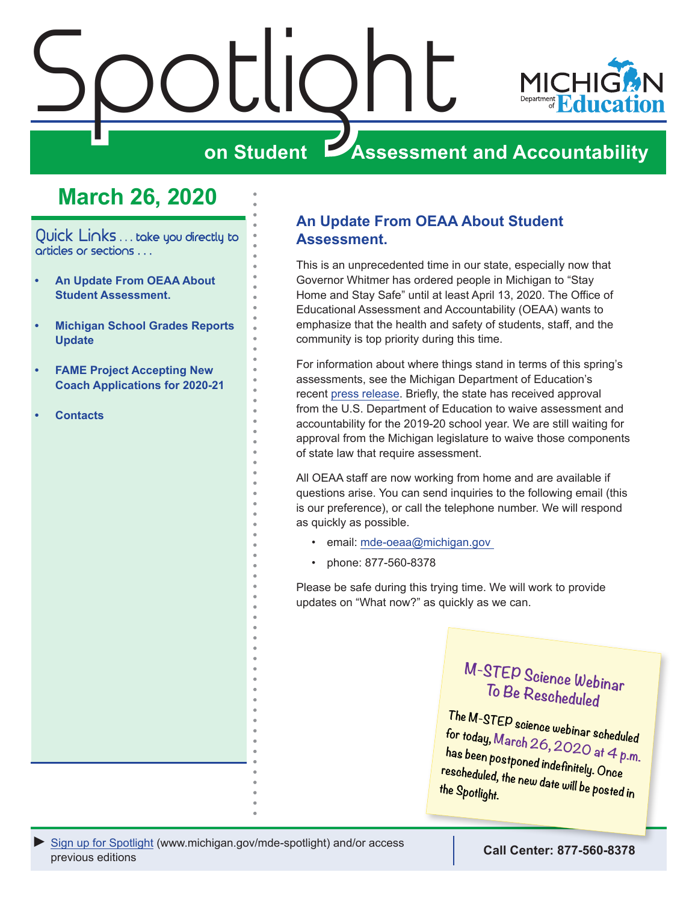<span id="page-0-0"></span>



Quick Links ... take you directly to articles or sections . . .

- **• An Update From OEAA About Student Assessment.**
- **• [Michigan School Grades Reports](#page-1-0)  [Update](#page-1-0)**
- **• [FAME Project Accepting New](#page-1-0)  [Coach Applications for 2020-21](#page-1-0)**
- **• [Contacts](#page-2-0)**

#### **An Update From OEAA About Student Assessment.**

This is an unprecedented time in our state, especially now that Governor Whitmer has ordered people in Michigan to "Stay Home and Stay Safe" until at least April 13, 2020. The Office of Educational Assessment and Accountability (OEAA) wants to emphasize that the health and safety of students, staff, and the community is top priority during this time.

For information about where things stand in terms of this spring's assessments, see the Michigan Department of Education's recent [press release.](https://www.michigan.gov/mde/0,4615,7-140--522624--,00.html) Briefly, the state has received approval from the U.S. Department of Education to waive assessment and accountability for the 2019-20 school year. We are still waiting for approval from the Michigan legislature to waive those components of state law that require assessment.

All OEAA staff are now working from home and are available if questions arise. You can send inquiries to the following email (this is our preference), or call the telephone number. We will respond as quickly as possible.

- email: mde-oeaa@michigan.gov
- phone: 877-560-8378

Please be safe during this trying time. We will work to provide updates on "What now?" as quickly as we can.

#### **M-STEP Science Webinar To Be Rescheduled M-STEP Science We binar To Be Rescheduled**

 $\frac{1}{\pi}$ 2020 at 4 p.m. has been postponed The M-STEP science webinar scheduled<br>for today, March 26, 2000 for today, March 26, 2020 at 4 p.m.<br>has been postponed in the <sup>new p</sup>.m. has been postponed indefinitely. Once<br><sup>rescheduled</sup> the second indefinitely. Once rescheduled, the new date will be posted in<br>the Spotlight.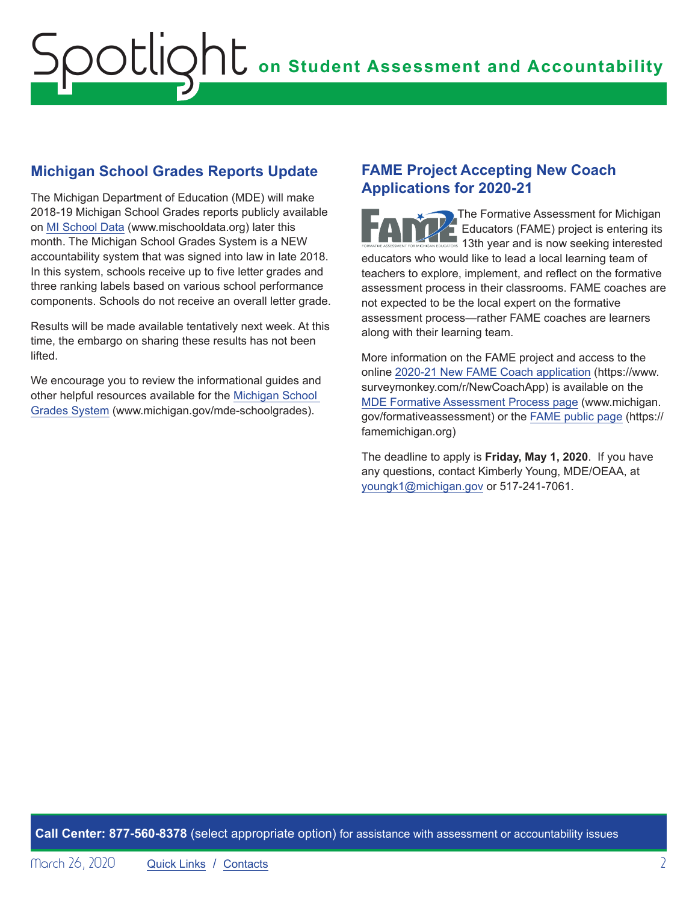# <span id="page-1-0"></span>**on Student Assessment and Accountability** Spotlight

### **Michigan School Grades Reports Update**

The Michigan Department of Education (MDE) will make 2018-19 Michigan School Grades reports publicly available on [MI School Data](https://www.mischooldata.org/) (www.mischooldata.org) later this month. The Michigan School Grades System is a NEW accountability system that was signed into law in late 2018. In this system, schools receive up to five letter grades and three ranking labels based on various school performance components. Schools do not receive an overall letter grade.

Results will be made available tentatively next week. At this time, the embargo on sharing these results has not been lifted.

We encourage you to review the informational guides and other helpful resources available for the [Michigan School](http://www.michigan.gov/mde-schoolgrades)  [Grades System](http://www.michigan.gov/mde-schoolgrades) (www.michigan.gov/mde-schoolgrades).

### **FAME Project Accepting New Coach Applications for 2020-21**

The Formative Assessment for Michigan Educators (FAME) project is entering its 13th year and is now seeking interested educators who would like to lead a local learning team of teachers to explore, implement, and reflect on the formative assessment process in their classrooms. FAME coaches are not expected to be the local expert on the formative assessment process—rather FAME coaches are learners along with their learning team.

More information on the FAME project and access to the online [2020-21 New FAME Coach application](https://www.surveymonkey.com/r/NewCoachApp) (https://www. surveymonkey.com/r/NewCoachApp) is available on the [MDE Formative Assessment Process page](http://www.michigan.gov/formativeassessment) (www.michigan. gov/formativeassessment) or the [FAME public page](https://famemichigan.org) (https:// famemichigan.org)

The deadline to apply is **Friday, May 1, 2020**. If you have any questions, contact Kimberly Young, MDE/OEAA, at [youngk1@michigan.gov](mailto:youngk1%40michigan.gov?subject=) or 517-241-7061.

**Call Center: 877-560-8378** (select appropriate option) for assistance with assessment or accountability issues